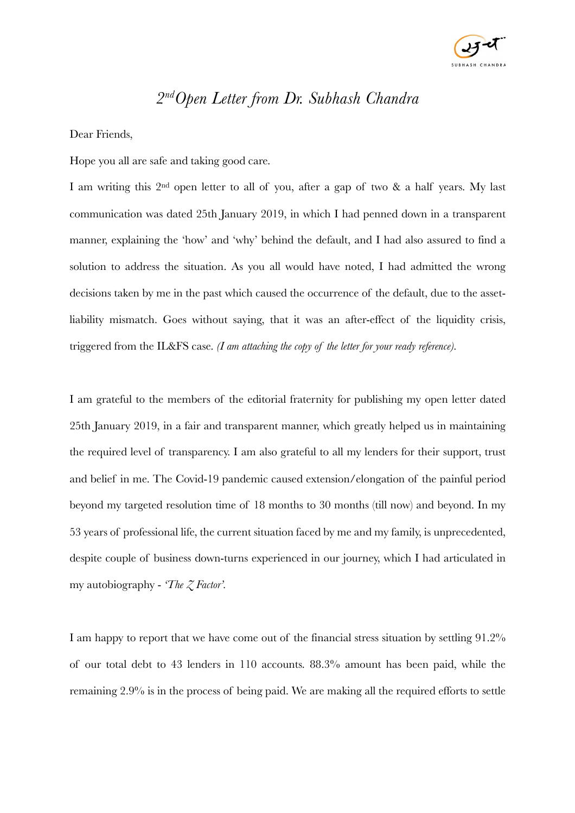

## *2ndOpen Letter from Dr. Subhash Chandra*

Dear Friends,

Hope you all are safe and taking good care.

I am writing this 2nd open letter to all of you, after a gap of two & a half years. My last communication was dated 25th January 2019, in which I had penned down in a transparent manner, explaining the 'how' and 'why' behind the default, and I had also assured to find a solution to address the situation. As you all would have noted, I had admitted the wrong decisions taken by me in the past which caused the occurrence of the default, due to the assetliability mismatch. Goes without saying, that it was an after-effect of the liquidity crisis, triggered from the IL&FS case. *(I am attaching the copy of the letter for your ready reference).*

I am grateful to the members of the editorial fraternity for publishing my open letter dated 25th January 2019, in a fair and transparent manner, which greatly helped us in maintaining the required level of transparency. I am also grateful to all my lenders for their support, trust and belief in me. The Covid-19 pandemic caused extension/elongation of the painful period beyond my targeted resolution time of 18 months to 30 months (till now) and beyond. In my 53 years of professional life, the current situation faced by me and my family, is unprecedented, despite couple of business down-turns experienced in our journey, which I had articulated in my autobiography - *'The Z Factor'.*

I am happy to report that we have come out of the financial stress situation by settling 91.2% of our total debt to 43 lenders in 110 accounts. 88.3% amount has been paid, while the remaining 2.9% is in the process of being paid. We are making all the required efforts to settle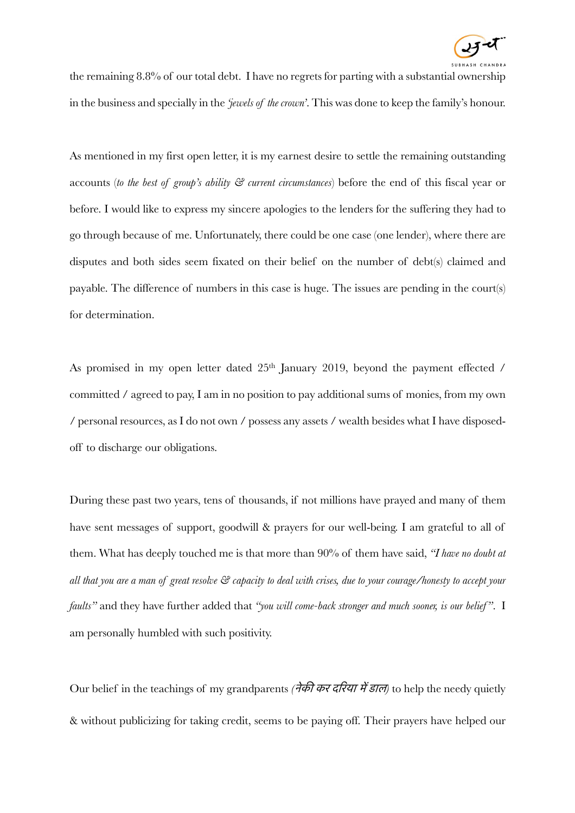

the remaining 8.8% of our total debt. I have no regrets for parting with a substantial ownership in the business and specially in the *'jewels of the crown'*. This was done to keep the family's honour.

As mentioned in my first open letter, it is my earnest desire to settle the remaining outstanding accounts (*to the best of group's ability & current circumstances*) before the end of this fiscal year or before. I would like to express my sincere apologies to the lenders for the suffering they had to go through because of me. Unfortunately, there could be one case (one lender), where there are disputes and both sides seem fixated on their belief on the number of debt(s) claimed and payable. The difference of numbers in this case is huge. The issues are pending in the court(s) for determination.

As promised in my open letter dated 25<sup>th</sup> January 2019, beyond the payment effected / committed / agreed to pay, I am in no position to pay additional sums of monies, from my own / personal resources, as I do not own / possess any assets / wealth besides what I have disposedoff to discharge our obligations.

During these past two years, tens of thousands, if not millions have prayed and many of them have sent messages of support, goodwill & prayers for our well-being. I am grateful to all of them. What has deeply touched me is that more than 90% of them have said, *"I have no doubt at all that you are a man of great resolve & capacity to deal with crises, due to your courage/honesty to accept your faults"* and they have further added that *"you will come-back stronger and much sooner, is our belief "*. I am personally humbled with such positivity.

Our belief in the teachings of my grandparents *(*नेकी कर दिरया मेडाल*)* to help the needy quietly & without publicizing for taking credit, seems to be paying off. Their prayers have helped our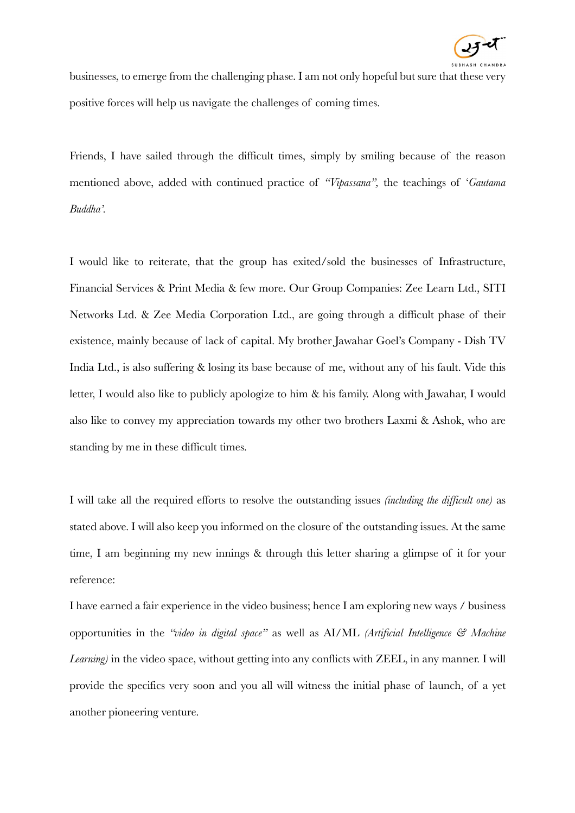

businesses, to emerge from the challenging phase. I am not only hopeful but sure that these very positive forces will help us navigate the challenges of coming times.

Friends, I have sailed through the difficult times, simply by smiling because of the reason mentioned above, added with continued practice of *"Vipassana",* the teachings of '*Gautama Buddha'.*

I would like to reiterate, that the group has exited/sold the businesses of Infrastructure, Financial Services & Print Media & few more. Our Group Companies: Zee Learn Ltd., SITI Networks Ltd. & Zee Media Corporation Ltd., are going through a difficult phase of their existence, mainly because of lack of capital. My brother Jawahar Goel's Company - Dish TV India Ltd., is also suffering & losing its base because of me, without any of his fault. Vide this letter, I would also like to publicly apologize to him & his family. Along with Jawahar, I would also like to convey my appreciation towards my other two brothers Laxmi & Ashok, who are standing by me in these difficult times.

I will take all the required efforts to resolve the outstanding issues *(including the difficult one)* as stated above. I will also keep you informed on the closure of the outstanding issues. At the same time, I am beginning my new innings & through this letter sharing a glimpse of it for your reference:

I have earned a fair experience in the video business; hence I am exploring new ways / business opportunities in the *"video in digital space"* as well as AI/ML *(Artificial Intelligence & Machine Learning)* in the video space, without getting into any conflicts with ZEEL, in any manner. I will provide the specifics very soon and you all will witness the initial phase of launch, of a yet another pioneering venture.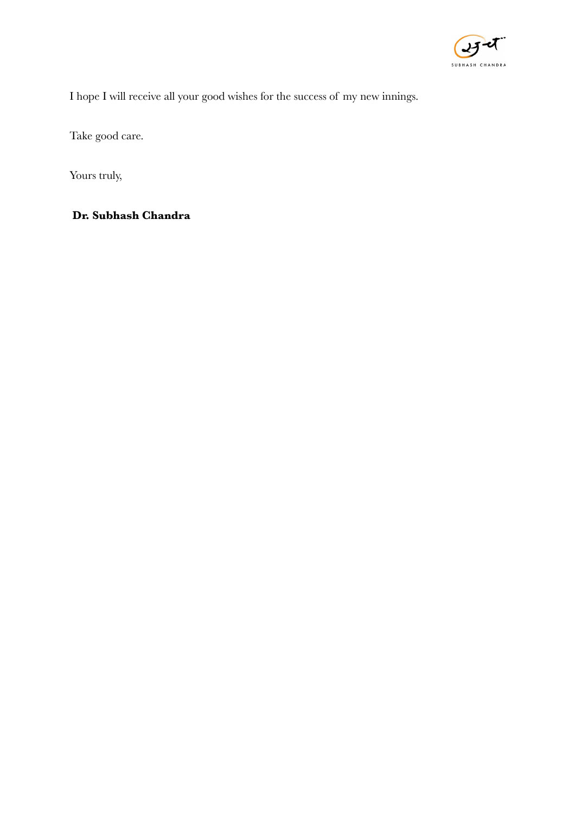

I hope I will receive all your good wishes for the success of my new innings.

Take good care.

Yours truly,

**Dr. Subhash Chandra**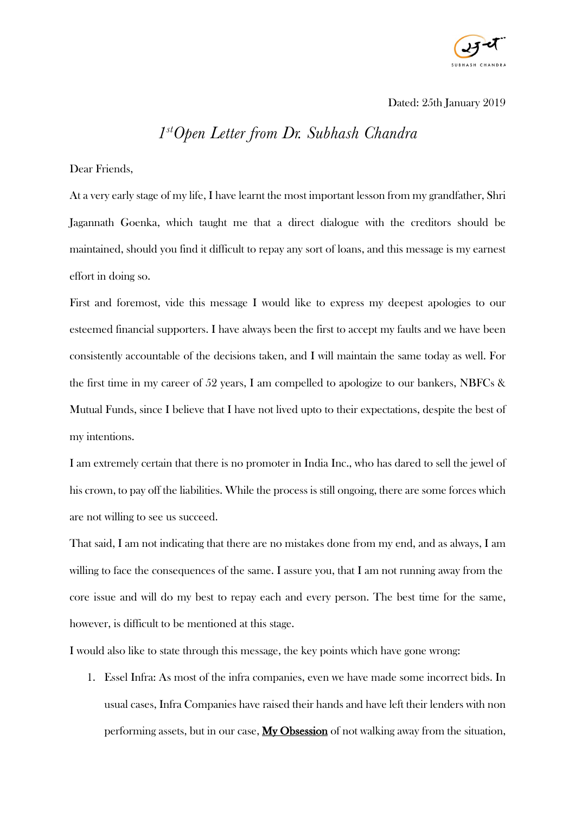

Dated: 25th January 2019

## *1stOpen Letter from Dr. Subhash Chandra*

Dear Friends,

At a very early stage of my life, I have learnt the most important lesson from my grandfather, Shri Jagannath Goenka, which taught me that a direct dialogue with the creditors should be maintained, should you find it difficult to repay any sort of loans, and this message is my earnest effort in doing so.

First and foremost, vide this message I would like to express my deepest apologies to our esteemed financial supporters. I have always been the first to accept my faults and we have been consistently accountable of the decisions taken, and I will maintain the same today as well. For the first time in my career of 52 years, I am compelled to apologize to our bankers, NBFCs & Mutual Funds, since I believe that I have not lived upto to their expectations, despite the best of my intentions.

I am extremely certain that there is no promoter in India Inc., who has dared to sell the jewel of his crown, to pay off the liabilities. While the process is still ongoing, there are some forces which are not willing to see us succeed.

That said, I am not indicating that there are no mistakes done from my end, and as always, I am willing to face the consequences of the same. I assure you, that I am not running away from the core issue and will do my best to repay each and every person. The best time for the same, however, is difficult to be mentioned at this stage.

I would also like to state through this message, the key points which have gone wrong:

1. Essel Infra: As most of the infra companies, even we have made some incorrect bids. In usual cases, Infra Companies have raised their hands and have left their lenders with non performing assets, but in our case,  $My Obsession$  of not walking away from the situation,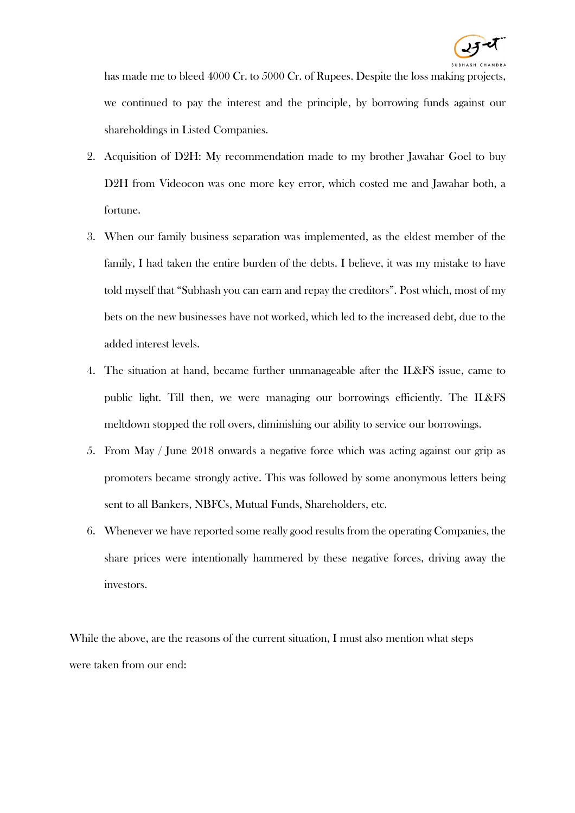

has made me to bleed 4000 Cr. to 5000 Cr. of Rupees. Despite the loss making projects, we continued to pay the interest and the principle, by borrowing funds against our shareholdings in Listed Companies.

- 2. Acquisition of D2H: My recommendation made to my brother Jawahar Goel to buy D2H from Videocon was one more key error, which costed me and Jawahar both, a fortune.
- 3. When our family business separation was implemented, as the eldest member of the family, I had taken the entire burden of the debts. I believe, it was my mistake to have told myself that "Subhash you can earn and repay the creditors". Post which, most of my bets on the new businesses have not worked, which led to the increased debt, due to the added interest levels.
- 4. The situation at hand, became further unmanageable after the IL&FS issue, came to public light. Till then, we were managing our borrowings efficiently. The IL&FS meltdown stopped the roll overs, diminishing our ability to service our borrowings.
- 5. From May / June 2018 onwards a negative force which was acting against our grip as promoters became strongly active. This was followed by some anonymous letters being sent to all Bankers, NBFCs, Mutual Funds, Shareholders, etc.
- 6. Whenever we have reported some really good results from the operating Companies, the share prices were intentionally hammered by these negative forces, driving away the investors.

While the above, are the reasons of the current situation, I must also mention what steps were taken from our end: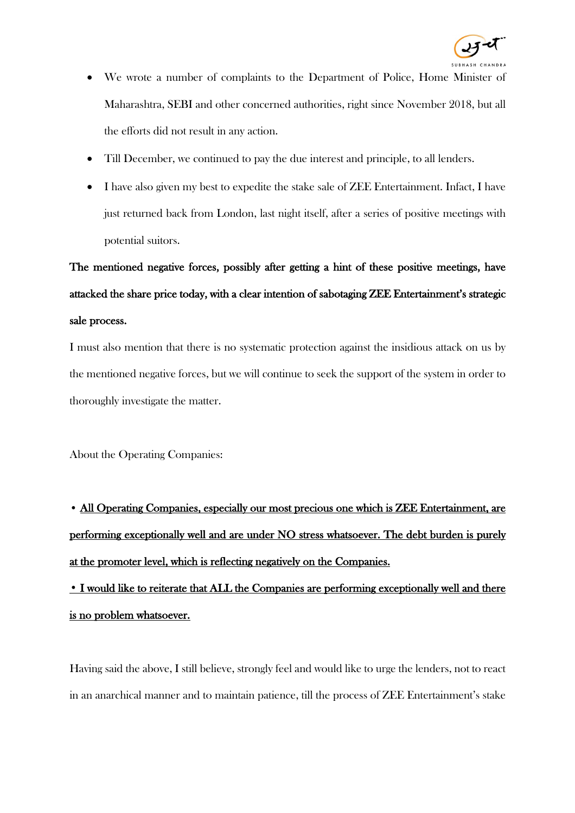

- We wrote a number of complaints to the Department of Police, Home Minister of Maharashtra, SEBI and other concerned authorities, right since November 2018, but all the efforts did not result in any action.
- Till December, we continued to pay the due interest and principle, to all lenders.
- I have also given my best to expedite the stake sale of ZEE Entertainment. Infact, I have just returned back from London, last night itself, after a series of positive meetings with potential suitors.

The mentioned negative forces, possibly after getting a hint of these positive meetings, have attacked the share price today, with a clear intention of sabotaging ZEE Entertainment's strategic sale process.

I must also mention that there is no systematic protection against the insidious attack on us by the mentioned negative forces, but we will continue to seek the support of the system in order to thoroughly investigate the matter.

About the Operating Companies:

• All Operating Companies, especially our most precious one which is ZEE Entertainment, are performing exceptionally well and are under NO stress whatsoever. The debt burden is purely at the promoter level, which is reflecting negatively on the Companies.

• I would like to reiterate that ALL the Companies are performing exceptionally well and there is no problem whatsoever.

Having said the above, I still believe, strongly feel and would like to urge the lenders, not to react in an anarchical manner and to maintain patience, till the process of ZEE Entertainment's stake